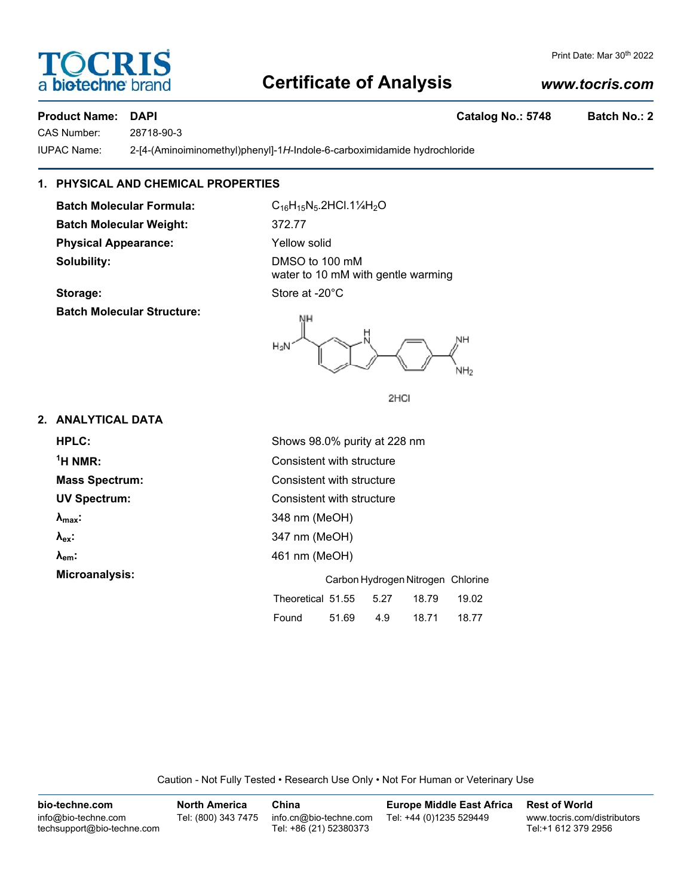# **Certificate of Analysis**

# *www.tocris.com*

# **Product Name: DAPI Catalog No.: 5748 Batch No.: 2**

CAS Number: 28718-90-3

IUPAC Name: 2-[4-(Aminoiminomethyl)phenyl]-1*H*-Indole-6-carboximidamide hydrochloride

# **1. PHYSICAL AND CHEMICAL PROPERTIES**

Batch Molecular Formula: C<sub>16</sub>H<sub>15</sub>N<sub>5</sub>.2HCl.1¼H<sub>2</sub>O **Batch Molecular Weight:** 372.77 **Physical Appearance:** Yellow solid **Solubility:** DMSO to 100 mM

**Batch Molecular Structure:**

water to 10 mM with gentle warming Storage: Store at -20°C



2HCI

# **2. ANALYTICAL DATA**

| HPLC:                  | Shows 98.0% purity at 228 nm                |  |  |  |  |  |
|------------------------|---------------------------------------------|--|--|--|--|--|
| $1H NMR$ :             | Consistent with structure                   |  |  |  |  |  |
| <b>Mass Spectrum:</b>  | Consistent with structure                   |  |  |  |  |  |
| <b>UV Spectrum:</b>    | Consistent with structure                   |  |  |  |  |  |
| $\lambda_{\text{max}}$ | 348 nm (MeOH)                               |  |  |  |  |  |
| $\lambda_{\rm ex}$     | 347 nm (MeOH)                               |  |  |  |  |  |
| $\lambda_{em}$ :       | 461 nm (MeOH)                               |  |  |  |  |  |
| Microanalysis:         | Carbon Hydrogen Nitrogen Chlorine           |  |  |  |  |  |
|                        | Theoretical 51.55<br>5.27<br>19.02<br>18.79 |  |  |  |  |  |
|                        | 4.9<br>18.71<br>51.69<br>Found<br>18.77     |  |  |  |  |  |

Caution - Not Fully Tested • Research Use Only • Not For Human or Veterinary Use

| bio-techne.com                                    | <b>North America</b> | China                                            | <b>Europe Middle East Africa</b> | <b>Rest of World</b>                               |
|---------------------------------------------------|----------------------|--------------------------------------------------|----------------------------------|----------------------------------------------------|
| info@bio-techne.com<br>techsupport@bio-techne.com | Tel: (800) 343 7475  | info.cn@bio-techne.com<br>Tel: +86 (21) 52380373 | Tel: +44 (0)1235 529449          | www.tocris.com/distributors<br>Tel:+1 612 379 2956 |



Print Date: Mar 30<sup>th</sup> 2022